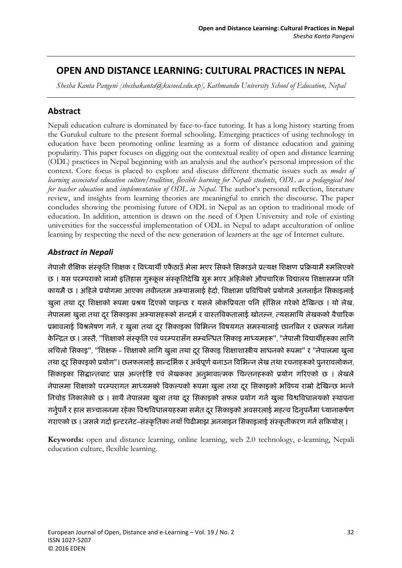# **OPEN AND DISTANCE LEARNING: CULTURAL PRACTICES IN NEPAL**

*Shesha Kanta Pangeni [sheshakanta@kusoed.edu.np], Kathmandu University School of Education, Nepal* 

# **Abstract**

Nepali education culture is dominated by face-to-face tutoring. It has a long history starting from the Gurukul culture to the present formal schooling. Emerging practices of using technology in education have been promoting online learning as a form of distance education and gaining popularity. This paper focuses on digging out the contextual reality of open and distance learning (ODL) practices in Nepal beginning with an analysis and the author's personal impression of the context. Core focus is placed to explore and discuss different thematic issues such as *modes of learning associated education culture/tradition*, *flexible learning for Nepali students*, *ODL as a pedagogical tool for teacher education* and *implementation of ODL in Nepal*. The author's personal reflection, literature review, and insights from learning theories are meaningful to enrich the discourse. The paper concludes showing the promising future of ODL in Nepal as an option to traditional mode of education. In addition, attention is drawn on the need of Open University and role of existing universities for the successful implementation of ODL in Nepal to adapt acculturation of online learning by respecting the need of the new generation of learners at the age of Internet culture.

# *Abstract in Nepali*

नेपाली शैक्षिक संस्कृति शिक्षक र विध्यार्थी एकैठाउँ भेला भएर सिक्ने सिकाउने प्रत्यक्ष शिक्षण प्रक्रियामै रुमलिएको छ । यस परम्पराको लामो इतिहास गुरूकूल संस्कृतिदेखि सुरू भएर अहिलेको औपचारिक विद्यालय शिक्षासम्म पनि कायमै छ । अहिले प्रयोगमा आएका नवीनतम अभ्यासलाई हेर्दा, शिक्षामा प्रविधिको प्रयोगले अनलाईन सिकाइलाई खुला तथा दूर शिक्षाको रूपमा प्रश्रय दिएको पाइन्छ र यसले लोकप्रियता पनि हाँसिल गरेको देखिन्छ । यो लेख, नेपालमा खुला तथा दरू िसकाइका अभ्यासहरूको सन्दभर्र वाःतिवकतालाइर्खोतल्न, त्यसमािथ लेखकको वैचािरक प्रभावलाई विश्रलेषण गर्न, र खुला तथा दूर सिकाइका विभिन्न विषयगत समस्यालाई छानबिन र छलफल गर्नमा केन्द्रित छ । जस्तै, "शिक्षाको संस्कृति एवं परम्परासँग सम्बन्धित सिकाइ माध्यमहरू", "नेपाली विद्यार्थीहरूका लागि लिचलो िसकाइ", "िशक्षक – िशक्षाको लािग खुला तथा दरू िसकाइ िशक्षाशास्तर्ीय साधनको रूपमा" र "नेपालमा खुला तथा दूर सिकाइको प्रयोग"। छलफललाई सान्दर्भिक र अर्थपूर्ण बनाउन विभिन्न लेख तथा रचनाहरूको पुनरावलोकन, िसकाइका िसद्धान्तबाट ूाप्त अन्तदृर्िष्ट एवं लेखकका अनुभावात्मक िचन्तनहरूको ूयोग गिरएको छ । लेखले नेपालमा िशक्षाको परम्परागत माध्यमको िवकल्पको रूपमा खुला तथा दरू िसकाइको भिवंय राॆो देिखन्छ भन्ने त्तिचोड निकालेको छ । साथै नेपालमा खुला तथा दुर सिकाइको सफल प्रयोग गर्न खुला विश्वविधालयको स्थापना गर्नुपर्ने र हाल सञ्चालनमा रहेका विश्वविधालयहरुमा समेत दर सिकाइको अवसरलाई महत्व दिनुपर्नेमा ध्यानाकर्षण गराएको छ । जसले गर्दा इन्टरनेट–संस्कृतिका नयाँ पिढीमाझ अनलाइन सिकाइलाई संस्कृतीकरण गर्न सकियोस् ।

**Keywords:** open and distance learning, online learning, web 2.0 technology, e-learning, Nepali education culture, flexible learning.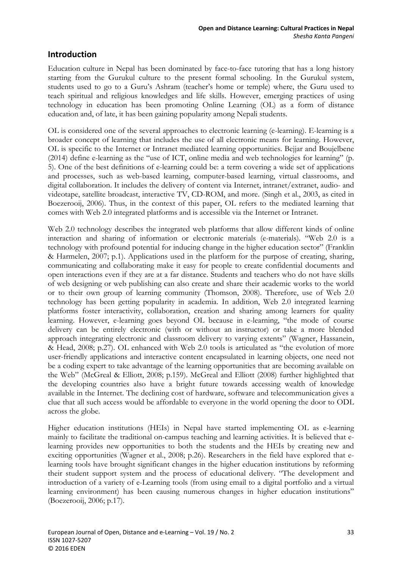## **Introduction**

Education culture in Nepal has been dominated by face-to-face tutoring that has a long history starting from the Gurukul culture to the present formal schooling. In the Gurukul system, students used to go to a Guru's Ashram (teacher's home or temple) where, the Guru used to teach spiritual and religious knowledges and life skills. However, emerging practices of using technology in education has been promoting Online Learning (OL) as a form of distance education and, of late, it has been gaining popularity among Nepali students.

OL is considered one of the several approaches to electronic learning (e-learning). E-learning is a broader concept of learning that includes the use of all electronic means for learning. However, OL is specific to the Internet or Intranet mediated learning opportunities. Bejjar and Boujelbene (2014) define e-learning as the "use of ICT, online media and web technologies for learning" (p. 5). One of the best definitions of e-learning could be: a term covering a wide set of applications and processes, such as web-based learning, computer-based learning, virtual classrooms, and digital collaboration. It includes the delivery of content via Internet, intranet/extranet, audio- and videotape, satellite broadcast, interactive TV, CD-ROM, and more. (Singh et al., 2003, as cited in Boezerooij, 2006). Thus, in the context of this paper, OL refers to the mediated learning that comes with Web 2.0 integrated platforms and is accessible via the Internet or Intranet.

Web 2.0 technology describes the integrated web platforms that allow different kinds of online interaction and sharing of information or electronic materials (e-materials). "Web 2.0 is a technology with profound potential for inducing change in the higher education sector" (Franklin & Harmelen, 2007; p.1). Applications used in the platform for the purpose of creating, sharing, communicating and collaborating make it easy for people to create confidential documents and open interactions even if they are at a far distance. Students and teachers who do not have skills of web designing or web publishing can also create and share their academic works to the world or to their own group of learning community (Thomson, 2008). Therefore, use of Web 2.0 technology has been getting popularity in academia. In addition, Web 2.0 integrated learning platforms foster interactivity, collaboration, creation and sharing among learners for quality learning. However, e-learning goes beyond OL because in e-learning, "the mode of course delivery can be entirely electronic (with or without an instructor) or take a more blended approach integrating electronic and classroom delivery to varying extents" (Wagner, Hassanein, & Head, 2008; p.27). OL enhanced with Web 2.0 tools is articulated as "the evolution of more user-friendly applications and interactive content encapsulated in learning objects, one need not be a coding expert to take advantage of the learning opportunities that are becoming available on the Web" (McGreal & Elliott, 2008; p.159). McGreal and Elliott (2008) further highlighted that the developing countries also have a bright future towards accessing wealth of knowledge available in the Internet. The declining cost of hardware, software and telecommunication gives a clue that all such access would be affordable to everyone in the world opening the door to ODL across the globe.

Higher education institutions (HEIs) in Nepal have started implementing OL as e-learning mainly to facilitate the traditional on-campus teaching and learning activities. It is believed that elearning provides new opportunities to both the students and the HEIs by creating new and exciting opportunities (Wagner et al., 2008; p.26). Researchers in the field have explored that elearning tools have brought significant changes in the higher education institutions by reforming their student support system and the process of educational delivery. "The development and introduction of a variety of e-Learning tools (from using email to a digital portfolio and a virtual learning environment) has been causing numerous changes in higher education institutions" (Boezerooij, 2006; p.17).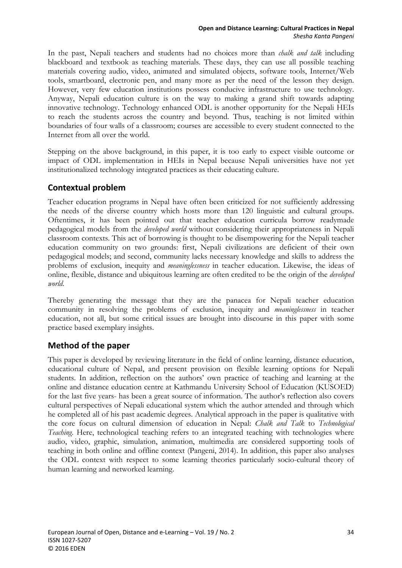In the past, Nepali teachers and students had no choices more than *chalk and talk* including blackboard and textbook as teaching materials. These days, they can use all possible teaching materials covering audio, video, animated and simulated objects, software tools, Internet/Web tools, smartboard, electronic pen, and many more as per the need of the lesson they design. However, very few education institutions possess conducive infrastructure to use technology. Anyway, Nepali education culture is on the way to making a grand shift towards adapting innovative technology. Technology enhanced ODL is another opportunity for the Nepali HEIs to reach the students across the country and beyond. Thus, teaching is not limited within boundaries of four walls of a classroom; courses are accessible to every student connected to the Internet from all over the world.

Stepping on the above background, in this paper, it is too early to expect visible outcome or impact of ODL implementation in HEIs in Nepal because Nepali universities have not yet institutionalized technology integrated practices as their educating culture.

### **Contextual problem**

Teacher education programs in Nepal have often been criticized for not sufficiently addressing the needs of the diverse country which hosts more than 120 linguistic and cultural groups. Oftentimes, it has been pointed out that teacher education curricula borrow readymade pedagogical models from the *developed world* without considering their appropriateness in Nepali classroom contexts. This act of borrowing is thought to be disempowering for the Nepali teacher education community on two grounds: first, Nepali civilizations are deficient of their own pedagogical models; and second, community lacks necessary knowledge and skills to address the problems of exclusion, inequity and *meaninglessness* in teacher education. Likewise, the ideas of online, flexible, distance and ubiquitous learning are often credited to be the origin of the *developed world*.

Thereby generating the message that they are the panacea for Nepali teacher education community in resolving the problems of exclusion, inequity and *meaninglessness* in teacher education, not all, but some critical issues are brought into discourse in this paper with some practice based exemplary insights.

### **Method of the paper**

This paper is developed by reviewing literature in the field of online learning, distance education, educational culture of Nepal, and present provision on flexible learning options for Nepali students. In addition, reflection on the authors' own practice of teaching and learning at the online and distance education centre at Kathmandu University School of Education (KUSOED) for the last five years- has been a great source of information. The author's reflection also covers cultural perspectives of Nepali educational system which the author attended and through which he completed all of his past academic degrees. Analytical approach in the paper is qualitative with the core focus on cultural dimension of education in Nepal: *Chalk and Talk* to *Technological Teaching*. Here, technological teaching refers to an integrated teaching with technologies where audio, video, graphic, simulation, animation, multimedia are considered supporting tools of teaching in both online and offline context (Pangeni, 2014). In addition, this paper also analyses the ODL context with respect to some learning theories particularly socio-cultural theory of human learning and networked learning.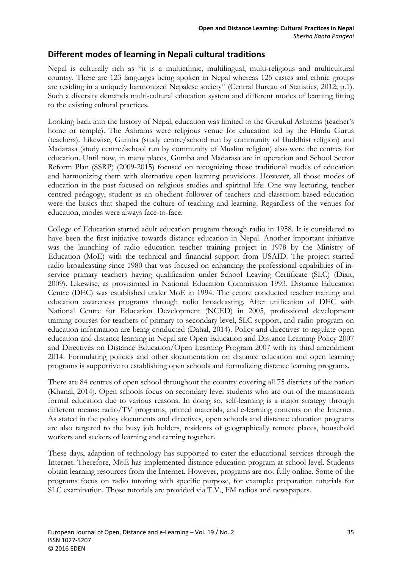# **Different modes of learning in Nepali cultural traditions**

Nepal is culturally rich as "it is a multiethnic, multilingual, multi-religious and multicultural country. There are 123 languages being spoken in Nepal whereas 125 castes and ethnic groups are residing in a uniquely harmonized Nepalese society" (Central Bureau of Statistics, 2012; p.1). Such a diversity demands multi-cultural education system and different modes of learning fitting to the existing cultural practices.

Looking back into the history of Nepal, education was limited to the Gurukul Ashrams (teacher's home or temple). The Ashrams were religious venue for education led by the Hindu Gurus (teachers). Likewise, Gumba (study centre/school run by community of Buddhist religion) and Madarasa (study centre/school run by community of Muslim religion) also were the centres for education. Until now, in many places, Gumba and Madarasa are in operation and School Sector Reform Plan (SSRP) (2009-2015) focused on recognizing those traditional modes of education and harmonizing them with alternative open learning provisions. However, all those modes of education in the past focused on religious studies and spiritual life. One way lecturing, teacher centred pedagogy, student as an obedient follower of teachers and classroom-based education were the basics that shaped the culture of teaching and learning. Regardless of the venues for education, modes were always face-to-face.

College of Education started adult education program through radio in 1958. It is considered to have been the first initiative towards distance education in Nepal. Another important initiative was the launching of radio education teacher training project in 1978 by the Ministry of Education (MoE) with the technical and financial support from USAID. The project started radio broadcasting since 1980 that was focused on enhancing the professional capabilities of inservice primary teachers having qualification under School Leaving Certificate (SLC) (Dixit, 2009). Likewise, as provisioned in National Education Commission 1993, Distance Education Centre (DEC) was established under MoE in 1994. The centre conducted teacher training and education awareness programs through radio broadcasting. After unification of DEC with National Centre for Education Development (NCED) in 2005, professional development training courses for teachers of primary to secondary level, SLC support, and radio program on education information are being conducted (Dahal, 2014). Policy and directives to regulate open education and distance learning in Nepal are Open Education and Distance Learning Policy 2007 and Directives on Distance Education/Open Learning Program 2007 with its third amendment 2014. Formulating policies and other documentation on distance education and open learning programs is supportive to establishing open schools and formalizing distance learning programs.

There are 84 centres of open school throughout the country covering all 75 districts of the nation (Khanal, 2014). Open schools focus on secondary level students who are out of the mainstream formal education due to various reasons. In doing so, self-learning is a major strategy through different means: radio/TV programs, printed materials, and e-learning contents on the Internet. As stated in the policy documents and directives, open schools and distance education programs are also targeted to the busy job holders, residents of geographically remote places, household workers and seekers of learning and earning together.

These days, adaption of technology has supported to cater the educational services through the Internet. Therefore, MoE has implemented distance education program at school level. Students obtain learning resources from the Internet. However, programs are not fully online. Some of the programs focus on radio tutoring with specific purpose, for example: preparation tutorials for SLC examination. Those tutorials are provided via T.V., FM radios and newspapers.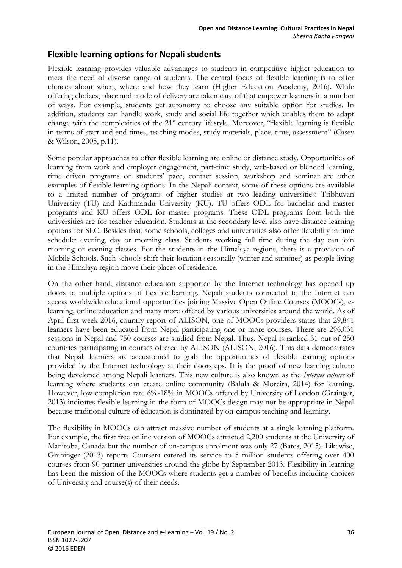# **Flexible learning options for Nepali students**

Flexible learning provides valuable advantages to students in competitive higher education to meet the need of diverse range of students. The central focus of flexible learning is to offer choices about when, where and how they learn (Higher Education Academy, 2016). While offering choices, place and mode of delivery are taken care of that empower learners in a number of ways. For example, students get autonomy to choose any suitable option for studies. In addition, students can handle work, study and social life together which enables them to adapt change with the complexities of the 21<sup>st</sup> century lifestyle. Moreover, "flexible learning is flexible in terms of start and end times, teaching modes, study materials, place, time, assessment" (Casey & Wilson, 2005, p.11).

Some popular approaches to offer flexible learning are online or distance study. Opportunities of learning from work and employer engagement, part-time study, web-based or blended learning, time driven programs on students' pace, contact session, workshop and seminar are other examples of flexible learning options. In the Nepali context, some of these options are available to a limited number of programs of higher studies at two leading universities: Tribhuvan University (TU) and Kathmandu University (KU). TU offers ODL for bachelor and master programs and KU offers ODL for master programs. These ODL programs from both the universities are for teacher education. Students at the secondary level also have distance learning options for SLC. Besides that, some schools, colleges and universities also offer flexibility in time schedule: evening, day or morning class. Students working full time during the day can join morning or evening classes. For the students in the Himalaya regions, there is a provision of Mobile Schools. Such schools shift their location seasonally (winter and summer) as people living in the Himalaya region move their places of residence.

On the other hand, distance education supported by the Internet technology has opened up doors to multiple options of flexible learning. Nepali students connected to the Internet can access worldwide educational opportunities joining Massive Open Online Courses (MOOCs), elearning, online education and many more offered by various universities around the world. As of April first week 2016, country report of ALISON, one of MOOCs providers states that 29,841 learners have been educated from Nepal participating one or more courses. There are 296,031 sessions in Nepal and 750 courses are studied from Nepal. Thus, Nepal is ranked 31 out of 250 countries participating in courses offered by ALISON (ALISON, 2016). This data demonstrates that Nepali learners are accustomed to grab the opportunities of flexible learning options provided by the Internet technology at their doorsteps. It is the proof of new learning culture being developed among Nepali learners. This new culture is also known as the *Internet culture* of learning where students can create online community (Balula & Moreira, 2014) for learning. However, low completion rate 6%-18% in MOOCs offered by University of London (Grainger, 2013) indicates flexible learning in the form of MOOCs design may not be appropriate in Nepal because traditional culture of education is dominated by on-campus teaching and learning.

The flexibility in MOOCs can attract massive number of students at a single learning platform. For example, the first free online version of MOOCs attracted 2,200 students at the University of Manitoba, Canada but the number of on-campus enrolment was only 27 (Bates, 2015). Likewise, Graninger (2013) reports Coursera catered its service to 5 million students offering over 400 courses from 90 partner universities around the globe by September 2013. Flexibility in learning has been the mission of the MOOCs where students get a number of benefits including choices of University and course(s) of their needs.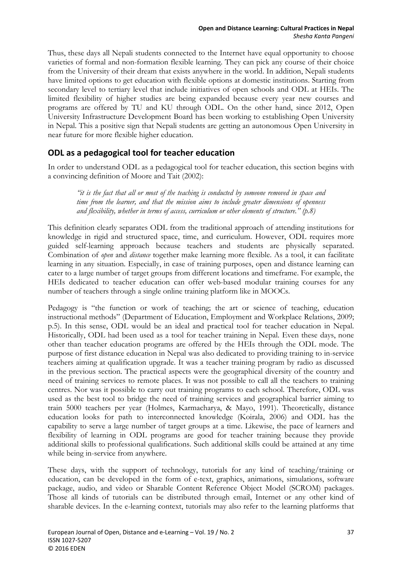Thus, these days all Nepali students connected to the Internet have equal opportunity to choose varieties of formal and non-formation flexible learning. They can pick any course of their choice from the University of their dream that exists anywhere in the world. In addition, Nepali students have limited options to get education with flexible options at domestic institutions. Starting from secondary level to tertiary level that include initiatives of open schools and ODL at HEIs. The limited flexibility of higher studies are being expanded because every year new courses and programs are offered by TU and KU through ODL. On the other hand, since 2012, Open University Infrastructure Development Board has been working to establishing Open University in Nepal. This a positive sign that Nepali students are getting an autonomous Open University in near future for more flexible higher education.

## **ODL as a pedagogical tool for teacher education**

In order to understand ODL as a pedagogical tool for teacher education, this section begins with a convincing definition of Moore and Tait (2002):

*"it is the fact that all or most of the teaching is conducted by someone removed in space and time from the learner, and that the mission aims to include greater dimensions of openness and flexibility, whether in terms of access, curriculum or other elements of structure." (p.8)* 

This definition clearly separates ODL from the traditional approach of attending institutions for knowledge in rigid and structured space, time, and curriculum. However, ODL requires more guided self-learning approach because teachers and students are physically separated. Combination of *open* and *distance* together make learning more flexible. As a tool, it can facilitate learning in any situation. Especially, in case of training purposes, open and distance learning can cater to a large number of target groups from different locations and timeframe. For example, the HEIs dedicated to teacher education can offer web-based modular training courses for any number of teachers through a single online training platform like in MOOCs.

Pedagogy is "the function or work of teaching; the art or science of teaching, education instructional methods" (Department of Education, Employment and Workplace Relations, 2009; p.5). In this sense, ODL would be an ideal and practical tool for teacher education in Nepal. Historically, ODL had been used as a tool for teacher training in Nepal. Even these days, none other than teacher education programs are offered by the HEIs through the ODL mode. The purpose of first distance education in Nepal was also dedicated to providing training to in-service teachers aiming at qualification upgrade. It was a teacher training program by radio as discussed in the previous section. The practical aspects were the geographical diversity of the country and need of training services to remote places. It was not possible to call all the teachers to training centres. Nor was it possible to carry out training programs to each school. Therefore, ODL was used as the best tool to bridge the need of training services and geographical barrier aiming to train 5000 teachers per year (Holmes, Karmacharya, & Mayo, 1991). Theoretically, distance education looks for path to interconnected knowledge (Koirala, 2006) and ODL has the capability to serve a large number of target groups at a time. Likewise, the pace of learners and flexibility of learning in ODL programs are good for teacher training because they provide additional skills to professional qualifications. Such additional skills could be attained at any time while being in-service from anywhere.

These days, with the support of technology, tutorials for any kind of teaching/training or education, can be developed in the form of e-text, graphics, animations, simulations, software package, audio, and video or Sharable Content Reference Object Model (SCROM) packages. Those all kinds of tutorials can be distributed through email, Internet or any other kind of sharable devices. In the e-learning context, tutorials may also refer to the learning platforms that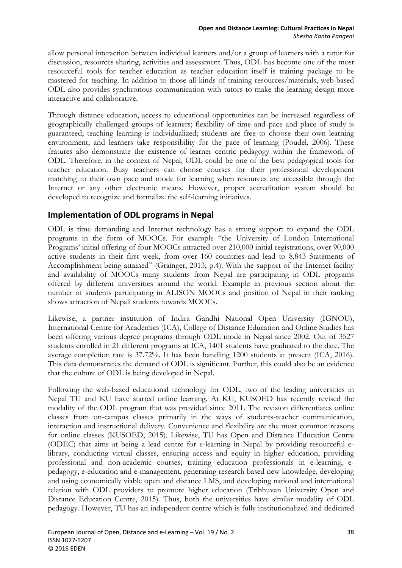allow personal interaction between individual learners and/or a group of learners with a tutor for discussion, resources sharing, activities and assessment. Thus, ODL has become one of the most resourceful tools for teacher education as teacher education itself is training package to be mastered for teaching. In addition to those all kinds of training resources/materials, web-based ODL also provides synchronous communication with tutors to make the learning design more interactive and collaborative.

Through distance education, access to educational opportunities can be increased regardless of geographically challenged groups of learners; flexibility of time and pace and place of study is guaranteed; teaching learning is individualized; students are free to choose their own learning environment; and learners take responsibility for the pace of learning (Poudel, 2006). These features also demonstrate the existence of learner centric pedagogy within the framework of ODL. Therefore, in the context of Nepal, ODL could be one of the best pedagogical tools for teacher education. Busy teachers can choose courses for their professional development matching to their own pace and mode for learning when resources are accessible through the Internet or any other electronic means. However, proper accreditation system should be developed to recognize and formalize the self-learning initiatives.

### **Implementation of ODL programs in Nepal**

ODL is time demanding and Internet technology has a strong support to expand the ODL programs in the form of MOOCs. For example "the University of London International Programs' initial offering of four MOOCs attracted over 210,000 initial registrations, over 90,000 active students in their first week, from over 160 countries and lead to 8,843 Statements of Accomplishment being attained" (Grainger, 2013; p.4). With the support of the Internet facility and availability of MOOCs many students from Nepal are participating in ODL programs offered by different universities around the world. Example in previous section about the number of students participating in ALISON MOOCs and position of Nepal in their ranking shows attraction of Nepali students towards MOOCs.

Likewise, a partner institution of Indira Gandhi National Open University (IGNOU), International Centre for Academics (ICA), College of Distance Education and Online Studies has been offering various degree programs through ODL mode in Nepal since 2002. Out of 3527 students enrolled in 21 different programs at ICA, 1401 students have graduated to the date. The average completion rate is 37.72%. It has been handling 1200 students at present (ICA, 2016). This data demonstrates the demand of ODL is significant. Further, this could also be an evidence that the culture of ODL is being developed in Nepal.

Following the web-based educational technology for ODL, two of the leading universities in Nepal TU and KU have started online learning. At KU, KUSOED has recently revised the modality of the ODL program that was provided since 2011. The revision differentiates online classes from on-campus classes primarily in the ways of students-teacher communication, interaction and instructional delivery. Convenience and flexibility are the most common reasons for online classes (KUSOED, 2015). Likewise, TU has Open and Distance Education Centre (ODEC) that aims at being a lead centre for e-learning in Nepal by providing resourceful elibrary, conducting virtual classes, ensuring access and equity in higher education, providing professional and non-academic courses, training education professionals in e-learning, epedagogy, e-education and e-management, generating research based new knowledge, developing and using economically viable open and distance LMS, and developing national and international relation with ODL providers to promote higher education (Tribhuvan University Open and Distance Education Centre, 2015). Thus, both the universities have similar modality of ODL pedagogy. However, TU has an independent centre which is fully institutionalized and dedicated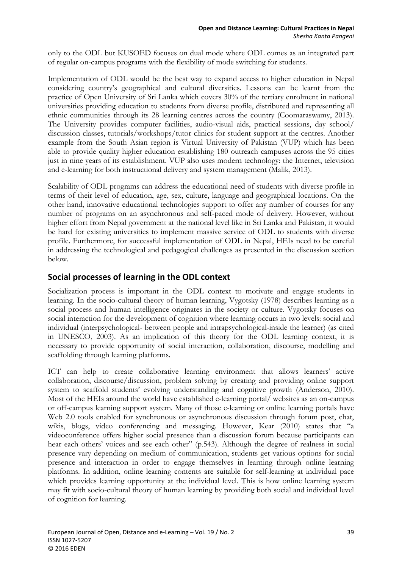only to the ODL but KUSOED focuses on dual mode where ODL comes as an integrated part of regular on-campus programs with the flexibility of mode switching for students.

Implementation of ODL would be the best way to expand access to higher education in Nepal considering country's geographical and cultural diversities. Lessons can be learnt from the practice of Open University of Sri Lanka which covers 30% of the tertiary enrolment in national universities providing education to students from diverse profile, distributed and representing all ethnic communities through its 28 learning centres across the country (Coomaraswamy, 2013). The University provides computer facilities, audio-visual aids, practical sessions, day school/ discussion classes, tutorials/workshops/tutor clinics for student support at the centres. Another example from the South Asian region is Virtual University of Pakistan (VUP) which has been able to provide quality higher education establishing 180 outreach campuses across the 95 cities just in nine years of its establishment. VUP also uses modern technology: the Internet, television and e-learning for both instructional delivery and system management (Malik, 2013).

Scalability of ODL programs can address the educational need of students with diverse profile in terms of their level of education, age, sex, culture, language and geographical locations. On the other hand, innovative educational technologies support to offer any number of courses for any number of programs on an asynchronous and self-paced mode of delivery. However, without higher effort from Nepal government at the national level like in Sri Lanka and Pakistan, it would be hard for existing universities to implement massive service of ODL to students with diverse profile. Furthermore, for successful implementation of ODL in Nepal, HEIs need to be careful in addressing the technological and pedagogical challenges as presented in the discussion section below.

## **Social processes of learning in the ODL context**

Socialization process is important in the ODL context to motivate and engage students in learning. In the socio-cultural theory of human learning, Vygotsky (1978) describes learning as a social process and human intelligence originates in the society or culture. Vygotsky focuses on social interaction for the development of cognition where learning occurs in two levels: social and individual (interpsychological- between people and intrapsychological-inside the learner) (as cited in UNESCO, 2003). As an implication of this theory for the ODL learning context, it is necessary to provide opportunity of social interaction, collaboration, discourse, modelling and scaffolding through learning platforms.

ICT can help to create collaborative learning environment that allows learners' active collaboration, discourse/discussion, problem solving by creating and providing online support system to scaffold students' evolving understanding and cognitive growth (Anderson, 2010). Most of the HEIs around the world have established e-learning portal/ websites as an on-campus or off-campus learning support system. Many of those e-learning or online learning portals have Web 2.0 tools enabled for synchronous or asynchronous discussion through forum post, chat, wikis, blogs, video conferencing and messaging. However, Kear (2010) states that "a videoconference offers higher social presence than a discussion forum because participants can hear each others' voices and see each other" (p.543). Although the degree of realness in social presence vary depending on medium of communication, students get various options for social presence and interaction in order to engage themselves in learning through online learning platforms. In addition, online learning contents are suitable for self-learning at individual pace which provides learning opportunity at the individual level. This is how online learning system may fit with socio-cultural theory of human learning by providing both social and individual level of cognition for learning.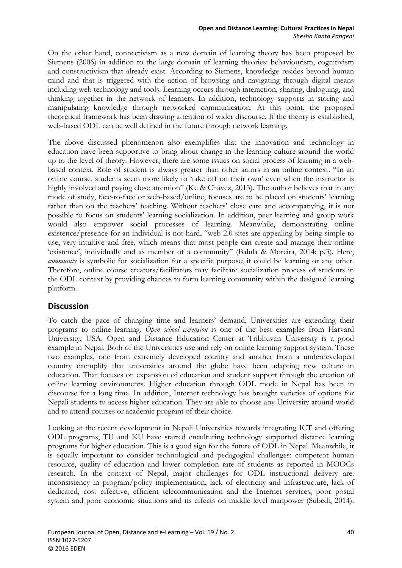On the other hand, connectivism as a new domain of learning theory has been proposed by Siemens (2006) in addition to the large domain of learning theories: behaviourism, cognitivism and constructivism that already exist. According to Siemens, knowledge resides beyond human mind and that is triggered with the action of browsing and navigating through digital means including web technology and tools. Learning occurs through interaction, sharing, dialoguing, and thinking together in the network of learners. In addition, technology supports in storing and manipulating knowledge through networked communication. At this point, the proposed theoretical framework has been drawing attention of wider discourse. If the theory is established, web-based ODL can be well defined in the future through network learning.

The above discussed phenomenon also exemplifies that the innovation and technology in education have been supportive to bring about change in the learning culture around the world up to the level of theory. However, there are some issues on social process of learning in a webbased context. Role of student is always greater than other actors in an online context. "In an online course, students seem more likely to 'take off on their own' even when the instructor is highly involved and paying close attention" (Ke & Chávez, 2013). The author believes that in any mode of study, face-to-face or web-based/online, focuses are to be placed on students' learning rather than on the teachers' teaching. Without teachers' close care and accompanying, it is not possible to focus on students' learning socialization. In addition, peer learning and group work would also empower social processes of learning. Meanwhile, demonstrating online existence/presence for an individual is not hard, "web 2.0 sites are appealing by being simple to use, very intuitive and free, which means that most people can create and manage their online 'existence', individually and as member of a community" (Balula & Moreira, 2014; p.3). Here, *community* is symbolic for socialization for a specific purpose; it could be learning or any other. Therefore, online course creators/facilitators may facilitate socialization process of students in the ODL context by providing chances to form learning community within the designed learning platform.

### **Discussion**

To catch the pace of changing time and learners' demand, Universities are extending their programs to online learning. *Open school extension* is one of the best examples from Harvard University, USA. Open and Distance Education Center at Tribhuvan University is a good example in Nepal. Both of the Universities use and rely on online learning support system. These two examples, one from extremely developed country and another from a underdeveloped country exemplify that universities around the globe have been adapting new culture in education. That focuses on expansion of education and student support through the creation of online learning environments. Higher education through ODL mode in Nepal has been in discourse for a long time. In addition, Internet technology has brought varieties of options for Nepali students to access higher education. They are able to choose any University around world and to attend courses or academic program of their choice.

Looking at the recent development in Nepali Universities towards integrating ICT and offering ODL programs, TU and KU have started enculturing technology supported distance learning programs for higher education. This is a good sign for the future of ODL in Nepal. Meanwhile, it is equally important to consider technological and pedagogical challenges: competent human resource, quality of education and lower completion rate of students as reported in MOOCs research. In the context of Nepal, major challenges for ODL instructional delivery are: inconsistency in program/policy implementation, lack of electricity and infrastructure, lack of dedicated, cost effective, efficient telecommunication and the Internet services, poor postal system and poor economic situations and its effects on middle level manpower (Subedi, 2014).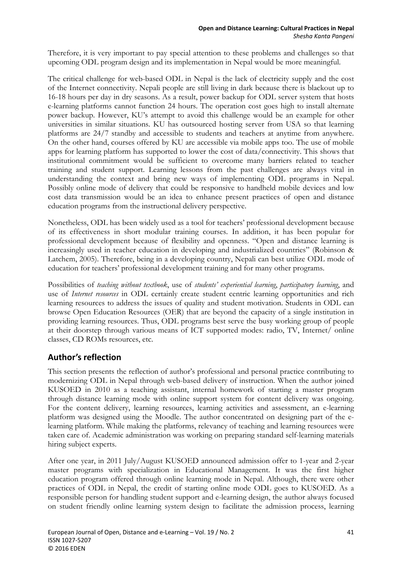Therefore, it is very important to pay special attention to these problems and challenges so that upcoming ODL program design and its implementation in Nepal would be more meaningful.

The critical challenge for web-based ODL in Nepal is the lack of electricity supply and the cost of the Internet connectivity. Nepali people are still living in dark because there is blackout up to 16-18 hours per day in dry seasons. As a result, power backup for ODL server system that hosts e-learning platforms cannot function 24 hours. The operation cost goes high to install alternate power backup. However, KU's attempt to avoid this challenge would be an example for other universities in similar situations. KU has outsourced hosting server from USA so that learning platforms are 24/7 standby and accessible to students and teachers at anytime from anywhere. On the other hand, courses offered by KU are accessible via mobile apps too. The use of mobile apps for learning platform has supported to lower the cost of data/connectivity. This shows that institutional commitment would be sufficient to overcome many barriers related to teacher training and student support. Learning lessons from the past challenges are always vital in understanding the context and bring new ways of implementing ODL programs in Nepal. Possibly online mode of delivery that could be responsive to handheld mobile devices and low cost data transmission would be an idea to enhance present practices of open and distance education programs from the instructional delivery perspective.

Nonetheless, ODL has been widely used as a tool for teachers' professional development because of its effectiveness in short modular training courses. In addition, it has been popular for professional development because of flexibility and openness. "Open and distance learning is increasingly used in teacher education in developing and industrialized countries" (Robinson & Latchem, 2005). Therefore, being in a developing country, Nepali can best utilize ODL mode of education for teachers' professional development training and for many other programs.

Possibilities of *teaching without textbook*, use of *students' experiential learning*, *participatory learning*, and use of *Internet resources* in ODL certainly create student centric learning opportunities and rich learning resources to address the issues of quality and student motivation. Students in ODL can browse Open Education Resources (OER) that are beyond the capacity of a single institution in providing learning resources. Thus, ODL programs best serve the busy working group of people at their doorstep through various means of ICT supported modes: radio, TV, Internet/ online classes, CD ROMs resources, etc.

# **Author's reflection**

This section presents the reflection of author's professional and personal practice contributing to modernizing ODL in Nepal through web-based delivery of instruction. When the author joined KUSOED in 2010 as a teaching assistant, internal homework of starting a master program through distance learning mode with online support system for content delivery was ongoing. For the content delivery, learning resources, learning activities and assessment, an e-learning platform was designed using the Moodle. The author concentrated on designing part of the elearning platform. While making the platforms, relevancy of teaching and learning resources were taken care of. Academic administration was working on preparing standard self-learning materials hiring subject experts.

After one year, in 2011 July/August KUSOED announced admission offer to 1-year and 2-year master programs with specialization in Educational Management. It was the first higher education program offered through online learning mode in Nepal. Although, there were other practices of ODL in Nepal, the credit of starting online mode ODL goes to KUSOED. As a responsible person for handling student support and e-learning design, the author always focused on student friendly online learning system design to facilitate the admission process, learning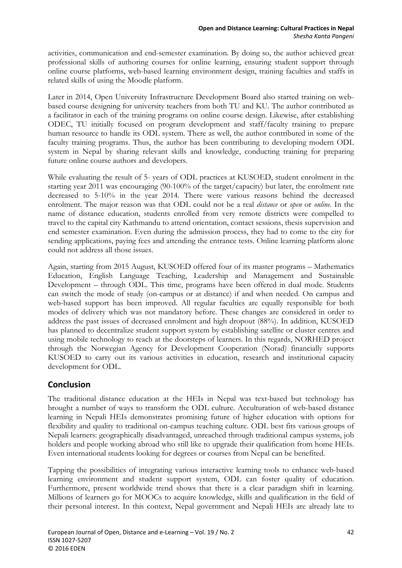activities, communication and end-semester examination. By doing so, the author achieved great professional skills of authoring courses for online learning, ensuring student support through online course platforms, web-based learning environment design, training faculties and staffs in related skills of using the Moodle platform.

Later in 2014, Open University Infrastructure Development Board also started training on webbased course designing for university teachers from both TU and KU. The author contributed as a facilitator in each of the training programs on online course design. Likewise, after establishing ODEC, TU initially focused on program development and staff/faculty training to prepare human resource to handle its ODL system. There as well, the author contributed in some of the faculty training programs. Thus, the author has been contributing to developing modern ODL system in Nepal by sharing relevant skills and knowledge, conducting training for preparing future online course authors and developers.

While evaluating the result of 5- years of ODL practices at KUSOED, student enrolment in the starting year 2011 was encouraging (90-100% of the target/capacity) but later, the enrolment rate decreased to 5-10% in the year 2014. There were various reasons behind the decreased enrolment. The major reason was that ODL could not be a real *distance* or *open* or *online*. In the name of distance education, students enrolled from very remote districts were compelled to travel to the capital city Kathmandu to attend orientation, contact sessions, thesis supervision and end semester examination. Even during the admission process, they had to come to the city for sending applications, paying fees and attending the entrance tests. Online learning platform alone could not address all those issues.

Again, starting from 2015 August, KUSOED offered four of its master programs – Mathematics Education, English Language Teaching, Leadership and Management and Sustainable Development – through ODL. This time, programs have been offered in dual mode. Students can switch the mode of study (on-campus or at distance) if and when needed. On campus and web-based support has been improved. All regular faculties are equally responsible for both modes of delivery which was not mandatory before. These changes are considered in order to address the past issues of decreased enrolment and high dropout (88%). In addition, KUSOED has planned to decentralize student support system by establishing satellite or cluster centres and using mobile technology to reach at the doorsteps of learners. In this regards, NORHED project through the Norwegian Agency for Development Cooperation (Norad) financially supports KUSOED to carry out its various activities in education, research and institutional capacity development for ODL.

### **Conclusion**

The traditional distance education at the HEIs in Nepal was text-based but technology has brought a number of ways to transform the ODL culture. Acculturation of web-based distance learning in Nepali HEIs demonstrates promising future of higher education with options for flexibility and quality to traditional on-campus teaching culture. ODL best fits various groups of Nepali learners: geographically disadvantaged, unreached through traditional campus systems, job holders and people working abroad who still like to upgrade their qualification from home HEIs. Even international students looking for degrees or courses from Nepal can be benefited.

Tapping the possibilities of integrating various interactive learning tools to enhance web-based learning environment and student support system, ODL can foster quality of education. Furthermore, present worldwide trend shows that there is a clear paradigm shift in learning. Millions of learners go for MOOCs to acquire knowledge, skills and qualification in the field of their personal interest. In this context, Nepal government and Nepali HEIs are already late to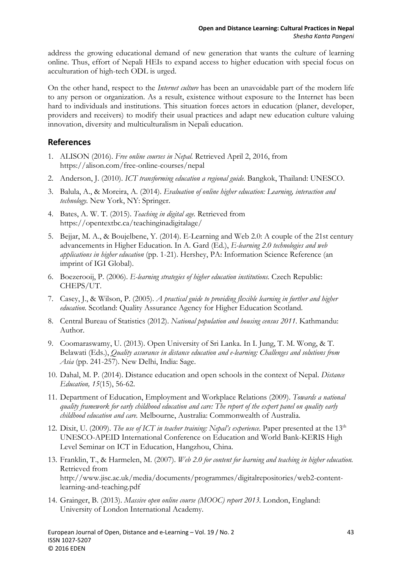address the growing educational demand of new generation that wants the culture of learning online. Thus, effort of Nepali HEIs to expand access to higher education with special focus on acculturation of high-tech ODL is urged.

On the other hand, respect to the *Internet culture* has been an unavoidable part of the modern life to any person or organization. As a result, existence without exposure to the Internet has been hard to individuals and institutions. This situation forces actors in education (planer, developer, providers and receivers) to modify their usual practices and adapt new education culture valuing innovation, diversity and multiculturalism in Nepali education.

#### **References**

- 1. ALISON (2016). *Free online courses in Nepal.* Retrieved April 2, 2016, from https://alison.com/free-online-courses/nepal
- 2. Anderson, J. (2010). *ICT transforming education a regional guide.* Bangkok, Thailand: UNESCO.
- 3. Balula, A., & Moreira, A. (2014). *Evaluation of online higher education: Learning, interaction and technology.* New York, NY: Springer.
- 4. Bates, A. W. T. (2015). *Teaching in digital age.* Retrieved from https://opentextbc.ca/teachinginadigitalage/
- 5. Bejjar, M. A., & Boujelbene, Y. (2014). E-Learning and Web 2.0: A couple of the 21st century advancements in Higher Education. In A. Gard (Ed.), *E-learning 2.0 technologies and web applications in higher education* (pp. 1-21). Hershey, PA: Information Science Reference (an imprint of IGI Global).
- 6. Boezerooij, P. (2006). *E-learning strategies of higher education institutions.* Czech Republic: CHEPS/UT.
- 7. Casey, J., & Wilson, P. (2005). *A practical guide to providing flexible learning in further and higher education.* Scotland: Quality Assurance Agency for Higher Education Scotland.
- 8. Central Bureau of Statistics (2012). *National population and housing census 2011.* Kathmandu: Author.
- 9. Coomaraswamy, U. (2013). Open University of Sri Lanka. In I. Jung, T. M. Wong, & T. Belawati (Eds.), *Quality assurance in distance education and e-learning: Challenges and solutions from Asia* (pp. 241-257). New Delhi, India: Sage.
- 10. Dahal, M. P. (2014). Distance education and open schools in the context of Nepal. *Distance Education, 15*(15), 56-62.
- 11. Department of Education, Employment and Workplace Relations (2009). *Towards a national quality framework for early childhood education and care: The report of the expert panel on quality early childhood education and care.* Melbourne, Australia: Commonwealth of Australia.
- 12. Dixit, U. (2009). *The use of ICT in teacher training: Nepal's experience*. Paper presented at the 13<sup>th</sup> UNESCO-APEID International Conference on Education and World Bank-KERIS High Level Seminar on ICT in Education, Hangzhou, China.
- 13. Franklin, T., & Harmelen, M. (2007). *Web 2.0 for content for learning and teaching in higher education.* Retrieved from http://www.jisc.ac.uk/media/documents/programmes/digitalrepositories/web2-contentlearning-and-teaching.pdf
- 14. Grainger, B. (2013). *Massive open online course (MOOC) report 2013.* London, England: University of London International Academy.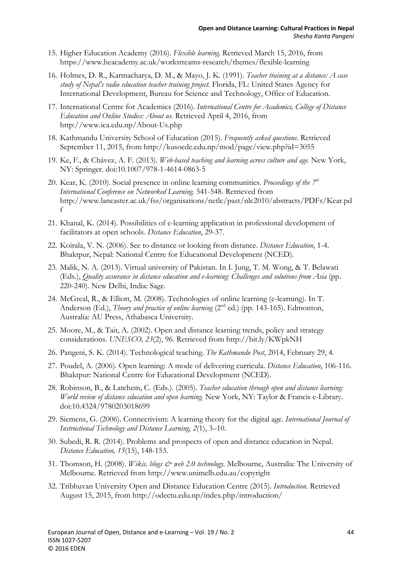- 15. Higher Education Academy (2016). *Flexible learning.* Retrieved March 15, 2016, from https://www.heacademy.ac.uk/workstreams-research/themes/flexible-learning
- 16. Holmes, D. R., Karmacharya, D. M., & Mayo, J. K. (1991). *Teacher training at a distance: A case study of Nepal's radio education teacher training project.* Florida, FL: United States Agency for International Development, Bureau for Science and Technology, Office of Education.
- 17. International Centre for Academics (2016). *International Centre for Academics, College of Distance Education and Online Studies: About us.* Retrieved April 4, 2016, from http://www.ica.edu.np/About-Us.php
- 18. Kathmandu University School of Education (2015). *Frequently asked questions.* Retrieved September 11, 2015, from http://kusoede.edu.np/mod/page/view.php?id=3055
- 19. Ke, F., & Chávez, A. F. (2013). *Web-based teaching and learning across culture and age.* New York, NY: Springer. doi:10.1007/978-1-4614-0863-5
- 20. Kear, K. (2010). Social presence in online learning communities. *Proceedings of the 7th International Conference on Networked Learning.* 541-548. Retrieved from http://www.lancaster.ac.uk/fss/organisations/netlc/past/nlc2010/abstracts/PDFs/Kear.pd f
- 21. Khanal, K. (2014). Possibilities of e-learning application in professional development of facilitators at open schools. *Distance Education*, 29-37.
- 22. Koirala, V. N. (2006). See to distance or looking from distance. *Distance Education*, 1-4. Bhaktpur, Nepal: National Centre for Educational Development (NCED).
- 23. Malik, N. A. (2013). Virtual university of Pakistan. In I. Jung, T. M. Wong, & T. Belawati (Eds.), *Quality assurance in distance education and e-learning: Challenges and solutions from Asia* (pp. 220-240). New Delhi, India: Sage.
- 24. McGreal, R., & Elliott, M. (2008). Technologies of online learning (e-learning). In T. Anderson (Ed.), *Theory and practice of online learning* (2<sup>nd</sup> ed.) (pp. 143-165). Edmonton, Australia: AU Press, Athabasca University.
- 25. Moore, M., & Tait, A. (2002). Open and distance learning trends, policy and strategy considerations. *UNESCO, 23*(2), 96. Retrieved from http://bit.ly/KWpkNH
- 26. Pangeni, S. K. (2014). Technological teaching. *The Kathmandu Post*, 2014, February 29, 4.
- 27. Poudel, A. (2006). Open learning: A mode of delivering curricula. *Distance Education*, 106-116. Bhaktpur: National Centre for Educational Development (NCED).
- 28. Robinson, B., & Latchem, C. (Eds.). (2005). *Teacher education through open and distance learning: World review of distance education and open learning.* New York, NY: Taylor & Francis e-Library. doi:10.4324/9780203018699
- 29. Siemens, G. (2006). Connectivism: A learning theory for the digital age. *International Journal of Instructional Technology and Distance Learning, 2*(1), 3–10.
- 30. Subedi, R. R. (2014). Problems and prospects of open and distance education in Nepal. *Distance Education, 15*(15), 148-153.
- 31. Thomson, H. (2008). *Wikis, blogs & web 2.0 technology.* Melbourne, Australia: The University of Melbourne. Retrieved from http://www.unimelb.edu.au/copyright
- 32. Tribhuvan University Open and Distance Education Centre (2015). *Introduction.* Retrieved August 15, 2015, from http://odectu.edu.np/index.php/introduction/